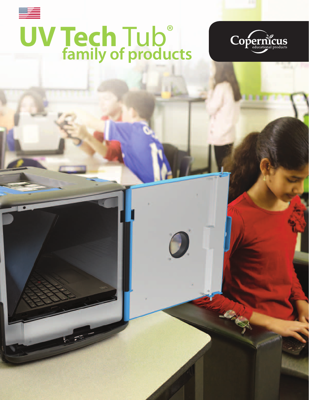# **UV Tech** Tub® *<u>family of products</u>*

 $\bm{O}$ 

RACK

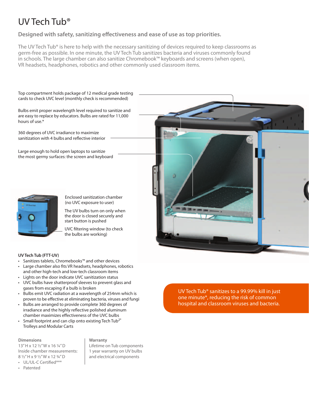## UV Tech Tub®

**Designed with safety, sanitizing effectiveness and ease of use as top priorities.**

The UV Tech Tub® is here to help with the necessary sanitizing of devices required to keep classrooms as germ-free as possible. In one minute, the UV Tech Tub sanitizes bacteria and viruses commonly found in schools. The large chamber can also sanitize Chromebook™ keyboards and screens (when open), VR headsets, headphones, robotics and other commonly used classroom items.



- Large chamber also fits VR headsets, headphones, robotics and other high-tech and low-tech classroom items
- Lights on the door indicate UVC sanitization status
- UVC bulbs have shatterproof sleeves to prevent glass and gases from escaping if a bulb is broken
- Bulbs emit UVC radiation at a wavelength of 254nm which is proven to be effective at eliminating bacteria, viruses and fungi
- Bulbs are arranged to provide complete 360 degrees of irradiance and the highly reflective polished aluminum chamber maximizes effectiveness of the UVC bulbs
- Small footprint and can clip onto existing Tech Tub<sup>2®</sup> Trolleys and Modular Carts

#### **Dimensions**

13"H x 12 1/2"W x 16 1/4"D Inside chamber measurements: 8 ½"H x 9 ½"W x 12 ¾"D

### UL/UL-C Certified\*\*\*

• Patented

**Warranty**

Lifetime on Tub components 1 year warranty on UV bulbs and electrical components

UV Tech Tub® sanitizes to a 99.99% kill in just one minute\*, reducing the risk of common hospital and classroom viruses and bacteria.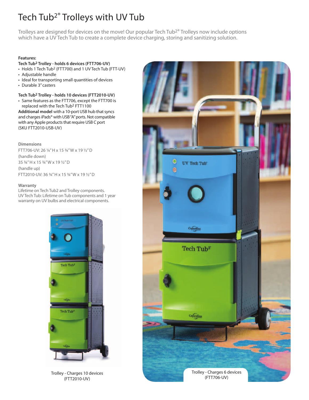## Tech Tub<sup>2®</sup> Trolleys with UV Tub

Trolleys are designed for devices on the move! Our popular Tech Tub2® Trolleys now include options which have a UV Tech Tub to create a complete device charging, storing and sanitizing solution.

#### **Features:**

#### **Tech Tub2 Trolley - holds 6 devices (FTT706-UV)**

- Holds 1 Tech Tub<sup>2</sup> (FTT700) and 1 UV Tech Tub (FTT-UV)
- • Adjustable handle
- Ideal for transporting small quantities of devices
- • Durable 3" casters

#### **Tech Tub2 Trolley - holds 10 devices (FTT2010-UV)**

• Same features as the FTT706, except the FTT700 is replaced with the Tech Tub2 FTT1100

Additional model with a 10-port USB hub that syncs and charges iPads® with USB "A" ports. Not compatible with any Apple products that require USB C port (SKU FTT2010-USB-UV)

**Dimensions**

FTT706-UV: 26 1/4" H x 15 3/4" W x 19 1/2" D (handle down) 35 3/4" H x 15 3/4" W x 19 1/2" D (handle up) FTT2010-UV: 36 3/4" H x 15 3/4" W x 19 1/2" D

#### **Warranty**

Lifetime on Tech Tub2 and Trolley components. UV Tech Tub: Lifetime on Tub components and 1 year warranty on UV bulbs and electrical components.



(FTT2010-UV)